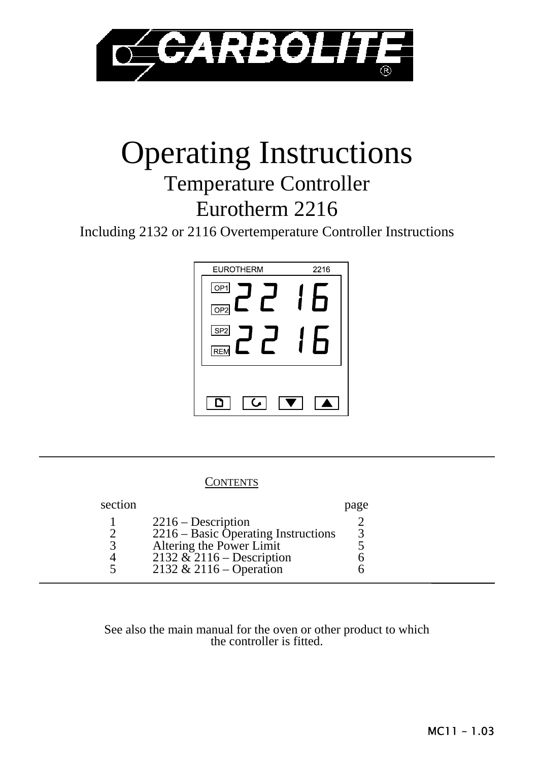

# Operating Instructions

# Temperature Controller Eurotherm 2216

Including 2132 or 2116 Overtemperature Controller Instructions



## **CONTENTS**

| section |                                      | page |
|---------|--------------------------------------|------|
|         | $2216 -$ Description                 |      |
|         | $2216 - Basic Operating Instruments$ |      |
|         | Altering the Power Limit             |      |
|         | $2132 \& 2116 -$ Description         |      |
| $\sim$  | 2132 & 2116 – Operation              |      |

#### See also the main manual for the oven or other product to which the controller is fitted.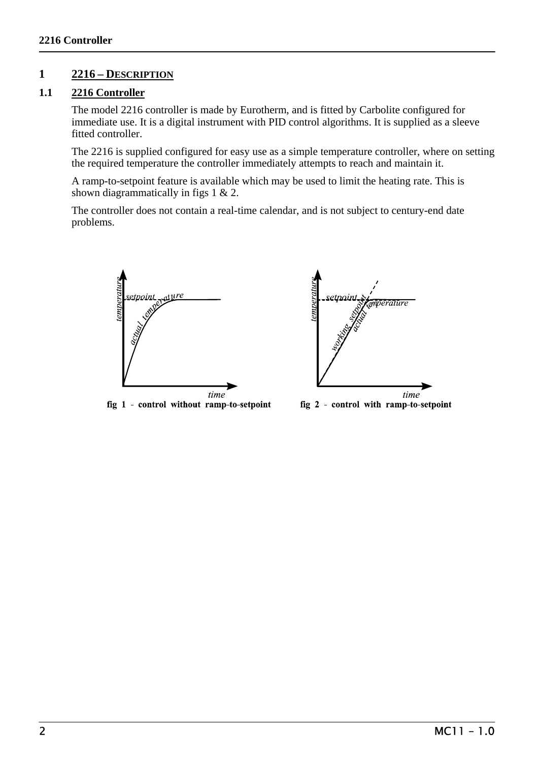# **1 2216 – DESCRIPTION**

#### **1.1 2216 Controller**

 The model 2216 controller is made by Eurotherm, and is fitted by Carbolite configured for immediate use. It is a digital instrument with PID control algorithms. It is supplied as a sleeve fitted controller.

 The 2216 is supplied configured for easy use as a simple temperature controller, where on setting the required temperature the controller immediately attempts to reach and maintain it.

 A ramp-to-setpoint feature is available which may be used to limit the heating rate. This is shown diagrammatically in figs 1 & 2.

 The controller does not contain a real-time calendar, and is not subject to century-end date problems.







fig 2 - control with ramp-to-setpoint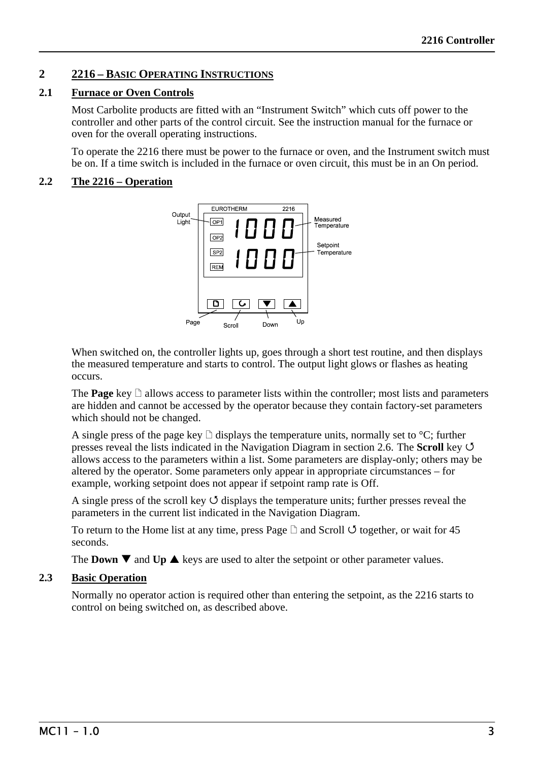# **2 2216 – BASIC OPERATING INSTRUCTIONS**

#### **2.1 Furnace or Oven Controls**

 Most Carbolite products are fitted with an "Instrument Switch" which cuts off power to the controller and other parts of the control circuit. See the instruction manual for the furnace or oven for the overall operating instructions.

 To operate the 2216 there must be power to the furnace or oven, and the Instrument switch must be on. If a time switch is included in the furnace or oven circuit, this must be in an On period.

#### **2.2 The 2216 – Operation**



When switched on, the controller lights up, goes through a short test routine, and then displays the measured temperature and starts to control. The output light glows or flashes as heating occurs.

The **Page** key  $\Box$  allows access to parameter lists within the controller; most lists and parameters are hidden and cannot be accessed by the operator because they contain factory-set parameters which should not be changed.

A single press of the page key  $\Box$  displays the temperature units, normally set to  $\degree C$ ; further presses reveal the lists indicated in the Navigation Diagram in section 2.6. The **Scroll** key 4 allows access to the parameters within a list. Some parameters are display-only; others may be altered by the operator. Some parameters only appear in appropriate circumstances – for example, working setpoint does not appear if setpoint ramp rate is Off.

A single press of the scroll key  $\circ$  displays the temperature units; further presses reveal the parameters in the current list indicated in the Navigation Diagram.

To return to the Home list at any time, press Page  $\Box$  and Scroll  $\circlearrowleft$  together, or wait for 45 seconds.

The **Down**  $\nabla$  and **Up**  $\triangle$  keys are used to alter the setpoint or other parameter values.

#### **2.3 Basic Operation**

Normally no operator action is required other than entering the setpoint, as the 2216 starts to control on being switched on, as described above.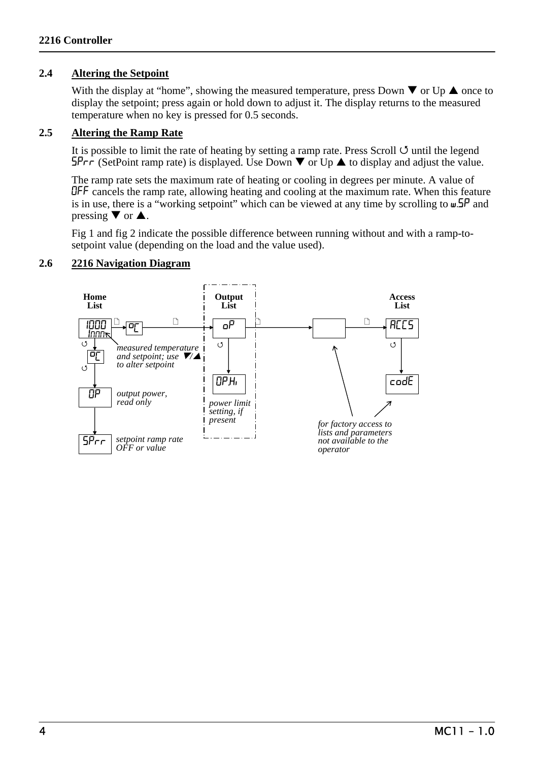#### **2.4 Altering the Setpoint**

With the display at "home", showing the measured temperature, press Down  $\nabla$  or Up  $\blacktriangle$  once to display the setpoint; press again or hold down to adjust it. The display returns to the measured temperature when no key is pressed for 0.5 seconds.

#### **2.5 Altering the Ramp Rate**

It is possible to limit the rate of heating by setting a ramp rate. Press Scroll  $\circ$  until the legend  $SPr \tau$  (SetPoint ramp rate) is displayed. Use Down  $\nabla$  or Up  $\blacktriangle$  to display and adjust the value.

 The ramp rate sets the maximum rate of heating or cooling in degrees per minute. A value of OFF cancels the ramp rate, allowing heating and cooling at the maximum rate. When this feature is in use, there is a "working setpoint" which can be viewed at any time by scrolling to w.SP and pressing  $\nabla$  or  $\triangle$ .

 Fig 1 and fig 2 indicate the possible difference between running without and with a ramp-tosetpoint value (depending on the load and the value used).

#### **2.6 2216 Navigation Diagram**

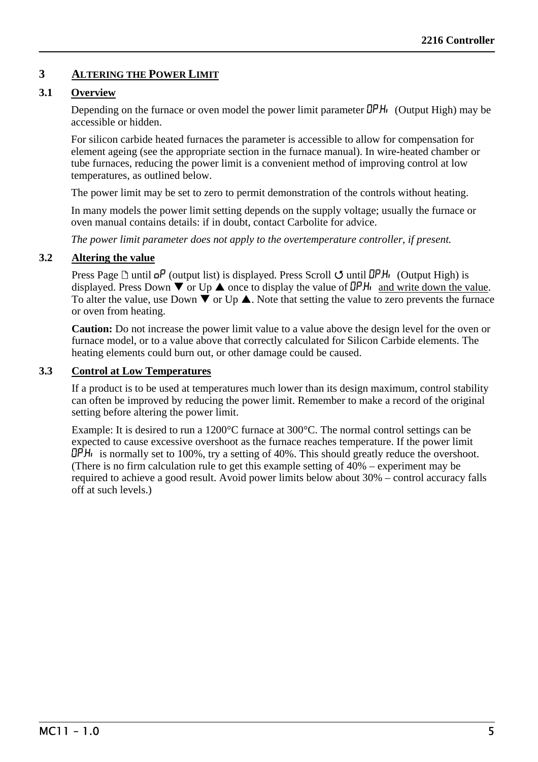# **3 ALTERING THE POWER LIMIT**

#### **3.1 Overview**

Depending on the furnace or oven model the power limit parameter  $\Box$ PH<sub>i</sub> (Output High) may be accessible or hidden.

For silicon carbide heated furnaces the parameter is accessible to allow for compensation for element ageing (see the appropriate section in the furnace manual). In wire-heated chamber or tube furnaces, reducing the power limit is a convenient method of improving control at low temperatures, as outlined below.

The power limit may be set to zero to permit demonstration of the controls without heating.

In many models the power limit setting depends on the supply voltage; usually the furnace or oven manual contains details: if in doubt, contact Carbolite for advice.

*The power limit parameter does not apply to the overtemperature controller, if present.* 

#### **3.2 Altering the value**

Press Page  $\Box$  until  $\Box$ P (output list) is displayed. Press Scroll  $\Box$  until  $\Box$ PH<sub>i</sub> (Output High) is displayed. Press Down  $\nabla$  or Up  $\triangle$  once to display the value of  $\Box$ PH<sub>i</sub> and write down the value. To alter the value, use Down  $\blacktriangledown$  or Up  $\blacktriangle$ . Note that setting the value to zero prevents the furnace or oven from heating.

**Caution:** Do not increase the power limit value to a value above the design level for the oven or furnace model, or to a value above that correctly calculated for Silicon Carbide elements. The heating elements could burn out, or other damage could be caused.

#### **3.3 Control at Low Temperatures**

 If a product is to be used at temperatures much lower than its design maximum, control stability can often be improved by reducing the power limit. Remember to make a record of the original setting before altering the power limit.

 Example: It is desired to run a 1200°C furnace at 300°C. The normal control settings can be expected to cause excessive overshoot as the furnace reaches temperature. If the power limit  $\Box$ PH<sub>i</sub> is normally set to 100%, try a setting of 40%. This should greatly reduce the overshoot. (There is no firm calculation rule to get this example setting of 40% – experiment may be required to achieve a good result. Avoid power limits below about 30% – control accuracy falls off at such levels.)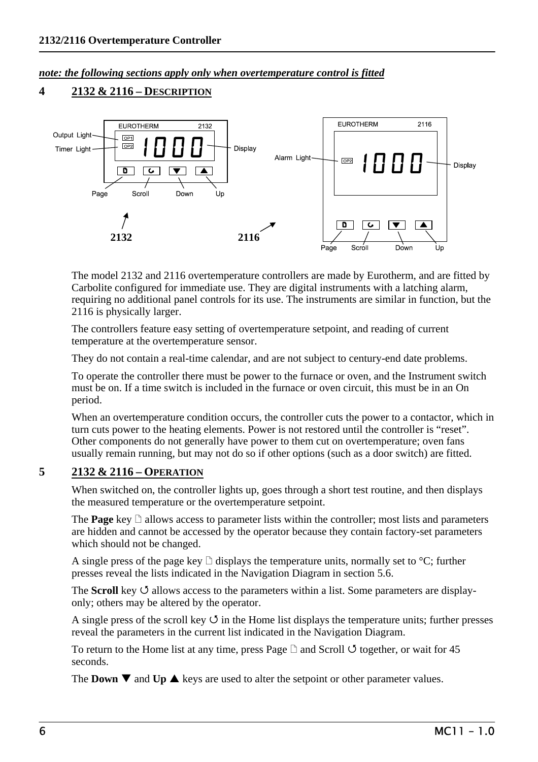#### *note: the following sections apply only when overtemperature control is fitted*

# **4 2132 & 2116 – DESCRIPTION**



 The model 2132 and 2116 overtemperature controllers are made by Eurotherm, and are fitted by Carbolite configured for immediate use. They are digital instruments with a latching alarm, requiring no additional panel controls for its use. The instruments are similar in function, but the 2116 is physically larger.

 The controllers feature easy setting of overtemperature setpoint, and reading of current temperature at the overtemperature sensor.

They do not contain a real-time calendar, and are not subject to century-end date problems.

 To operate the controller there must be power to the furnace or oven, and the Instrument switch must be on. If a time switch is included in the furnace or oven circuit, this must be in an On period.

 When an overtemperature condition occurs, the controller cuts the power to a contactor, which in turn cuts power to the heating elements. Power is not restored until the controller is "reset". Other components do not generally have power to them cut on overtemperature; oven fans usually remain running, but may not do so if other options (such as a door switch) are fitted.

# **5 2132 & 2116 – OPERATION**

When switched on, the controller lights up, goes through a short test routine, and then displays the measured temperature or the overtemperature setpoint.

The **Page** key  $\Box$  allows access to parameter lists within the controller; most lists and parameters are hidden and cannot be accessed by the operator because they contain factory-set parameters which should not be changed.

A single press of the page key  $\Box$  displays the temperature units, normally set to  $\degree C$ ; further presses reveal the lists indicated in the Navigation Diagram in section 5.6.

The **Scroll** key  $\circ$  allows access to the parameters within a list. Some parameters are displayonly; others may be altered by the operator.

A single press of the scroll key  $\circ$  in the Home list displays the temperature units; further presses reveal the parameters in the current list indicated in the Navigation Diagram.

To return to the Home list at any time, press Page  $\Box$  and Scroll  $\circlearrowleft$  together, or wait for 45 seconds.

The **Down**  $\nabla$  and **Up**  $\triangle$  keys are used to alter the setpoint or other parameter values.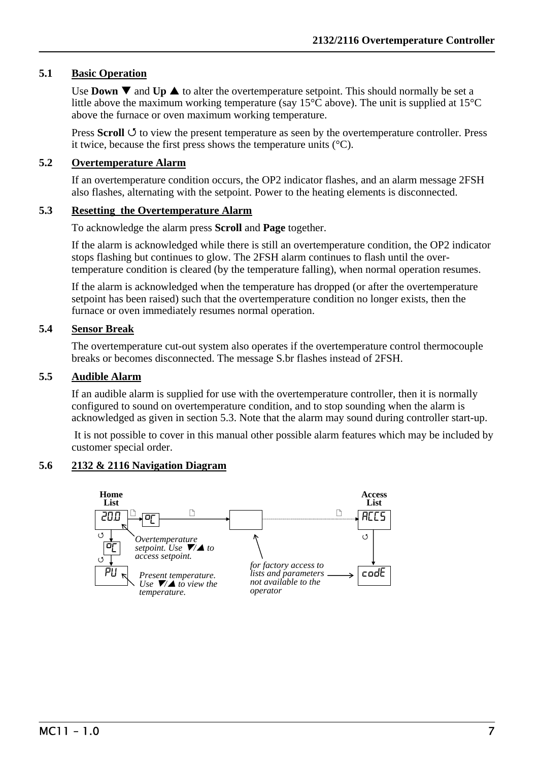#### **5.1 Basic Operation**

Use **Down**  $\nabla$  and **Up**  $\triangle$  to alter the overtemperature setpoint. This should normally be set a little above the maximum working temperature (say 15°C above). The unit is supplied at 15°C above the furnace or oven maximum working temperature.

Press **Scroll**  $\circ$  to view the present temperature as seen by the overtemperature controller. Press it twice, because the first press shows the temperature units (°C).

#### **5.2 Overtemperature Alarm**

 If an overtemperature condition occurs, the OP2 indicator flashes, and an alarm message 2FSH also flashes, alternating with the setpoint. Power to the heating elements is disconnected.

#### **5.3 Resetting the Overtemperature Alarm**

To acknowledge the alarm press **Scroll** and **Page** together.

 If the alarm is acknowledged while there is still an overtemperature condition, the OP2 indicator stops flashing but continues to glow. The 2FSH alarm continues to flash until the overtemperature condition is cleared (by the temperature falling), when normal operation resumes.

 If the alarm is acknowledged when the temperature has dropped (or after the overtemperature setpoint has been raised) such that the overtemperature condition no longer exists, then the furnace or oven immediately resumes normal operation.

#### **5.4 Sensor Break**

 The overtemperature cut-out system also operates if the overtemperature control thermocouple breaks or becomes disconnected. The message S.br flashes instead of 2FSH.

#### **5.5 Audible Alarm**

 If an audible alarm is supplied for use with the overtemperature controller, then it is normally configured to sound on overtemperature condition, and to stop sounding when the alarm is acknowledged as given in section 5.3. Note that the alarm may sound during controller start-up.

 It is not possible to cover in this manual other possible alarm features which may be included by customer special order.

#### **5.6 2132 & 2116 Navigation Diagram**